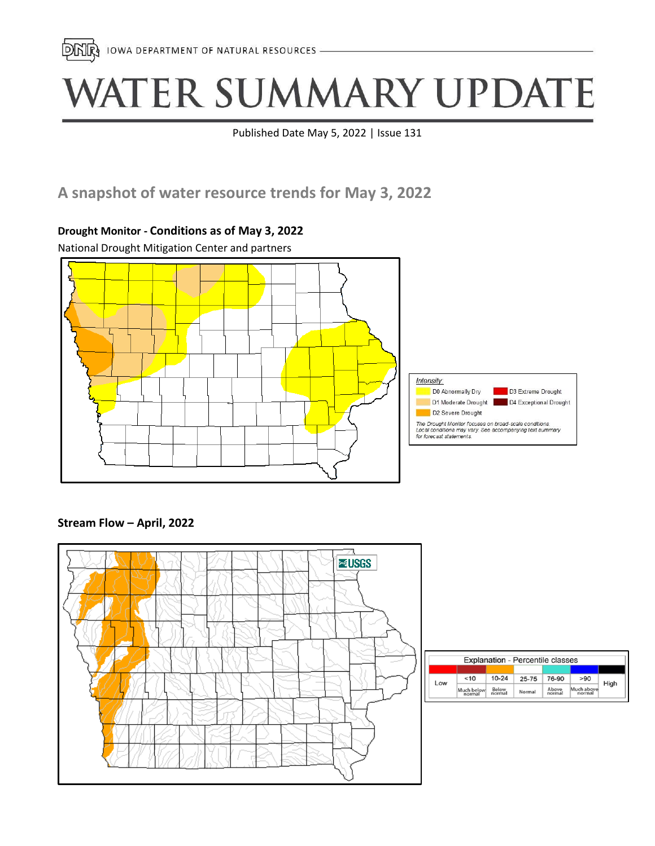

# WATER SUMMARY UPDATE

Published Date May 5, 2022 | Issue 131

## **A snapshot of water resource trends for May 3, 2022**

# National Drought Mitigation Center and partners Intensity: D0 Abnormally Dry D3 Extreme Drought D1 Moderate Drought | D4 Exceptional Drought D2 Severe Drought The Drought Monitor focuses on broad-scale conditions.<br>Local conditions may vary. See accompanying text summary<br>for forecast statements.

### **Drought Monitor - Conditions as of May 3, 2022**





| <b>Explanation - Percentile classes</b> |                      |                  |           |                |                      |      |  |
|-----------------------------------------|----------------------|------------------|-----------|----------------|----------------------|------|--|
| Low                                     | ~10                  | $10 - 24$        | $25 - 75$ | 76-90          | >90                  | High |  |
|                                         | Much below<br>normal | Below.<br>normal | Normal    | Above<br>norma | Much above<br>normal |      |  |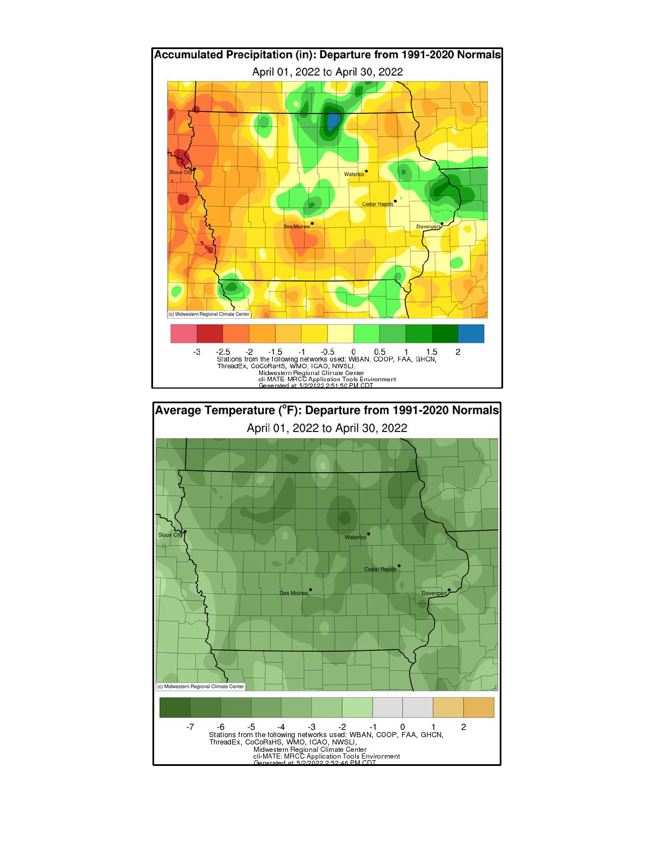

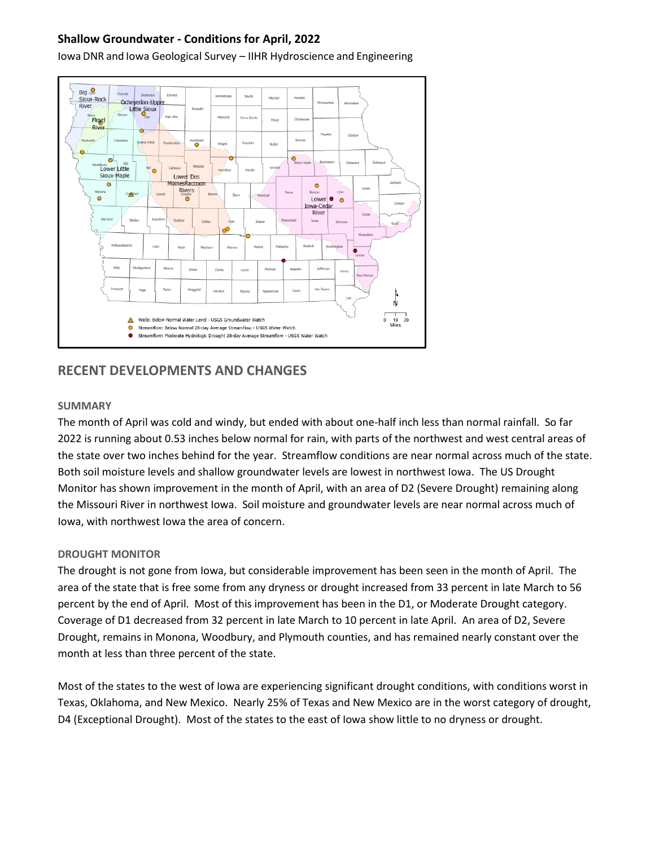#### **Shallow Groundwater - Conditions for April, 2022**

Iowa DNR and Iowa Geological Survey – IIHR Hydroscience and Engineering



#### **RECENT DEVELOPMENTS AND CHANGES**

#### **SUMMARY**

The month of April was cold and windy, but ended with about one-half inch less than normal rainfall. So far 2022 is running about 0.53 inches below normal for rain, with parts of the northwest and west central areas of the state over two inches behind for the year. Streamflow conditions are near normal across much of the state. Both soil moisture levels and shallow groundwater levels are lowest in northwest Iowa. The US Drought Monitor has shown improvement in the month of April, with an area of D2 (Severe Drought) remaining along the Missouri River in northwest Iowa. Soil moisture and groundwater levels are near normal across much of Iowa, with northwest Iowa the area of concern.

#### **DROUGHT MONITOR**

The drought is not gone from Iowa, but considerable improvement has been seen in the month of April. The area of the state that is free some from any dryness or drought increased from 33 percent in late March to 56 percent by the end of April. Most of this improvement has been in the D1, or Moderate Drought category. Coverage of D1 decreased from 32 percent in late March to 10 percent in late April. An area of D2, Severe Drought, remains in Monona, Woodbury, and Plymouth counties, and has remained nearly constant over the month at less than three percent of the state.

Most of the states to the west of Iowa are experiencing significant drought conditions, with conditions worst in Texas, Oklahoma, and New Mexico. Nearly 25% of Texas and New Mexico are in the worst category of drought, D4 (Exceptional Drought). Most of the states to the east of Iowa show little to no dryness or drought.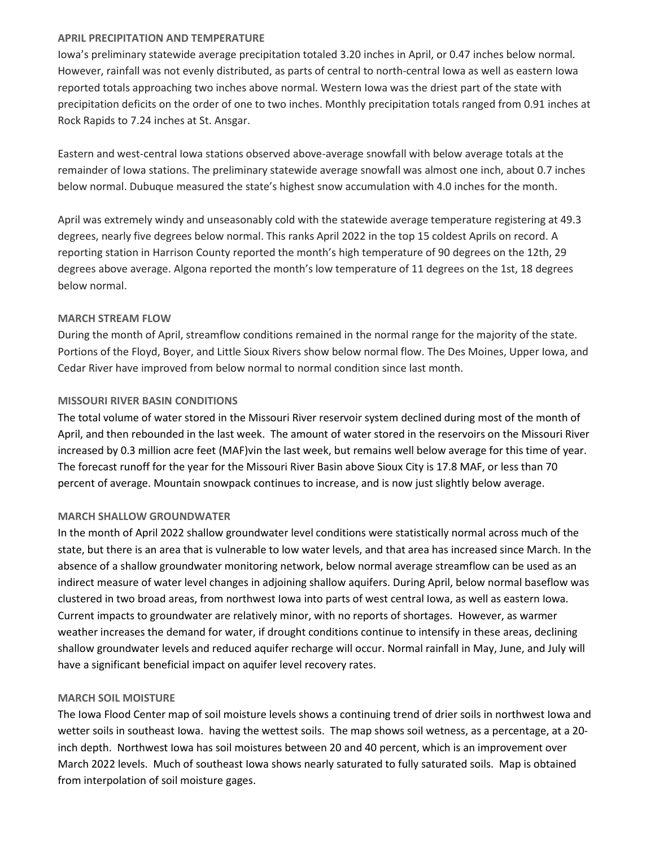#### **APRIL PRECIPITATION AND TEMPERATURE**

Iowa's preliminary statewide average precipitation totaled 3.20 inches in April, or 0.47 inches below normal. However, rainfall was not evenly distributed, as parts of central to north-central Iowa as well as eastern Iowa reported totals approaching two inches above normal. Western Iowa was the driest part of the state with precipitation deficits on the order of one to two inches. Monthly precipitation totals ranged from 0.91 inches at Rock Rapids to 7.24 inches at St. Ansgar.

Eastern and west-central Iowa stations observed above-average snowfall with below average totals at the remainder of Iowa stations. The preliminary statewide average snowfall was almost one inch, about 0.7 inches below normal. Dubuque measured the state's highest snow accumulation with 4.0 inches for the month.

April was extremely windy and unseasonably cold with the statewide average temperature registering at 49.3 degrees, nearly five degrees below normal. This ranks April 2022 in the top 15 coldest Aprils on record. A reporting station in Harrison County reported the month's high temperature of 90 degrees on the 12th, 29 degrees above average. Algona reported the month's low temperature of 11 degrees on the 1st, 18 degrees below normal.

#### **MARCH STREAM FLOW**

During the month of April, streamflow conditions remained in the normal range for the majority of the state. Portions of the Floyd, Boyer, and Little Sioux Rivers show below normal flow. The Des Moines, Upper Iowa, and Cedar River have improved from below normal to normal condition since last month.

#### **MISSOURI RIVER BASIN CONDITIONS**

The total volume of water stored in the Missouri River reservoir system declined during most of the month of April, and then rebounded in the last week. The amount of water stored in the reservoirs on the Missouri River increased by 0.3 million acre feet (MAF)vin the last week, but remains well below average for this time of year. The forecast runoff for the year for the Missouri River Basin above Sioux City is 17.8 MAF, or less than 70 percent of average. Mountain snowpack continues to increase, and is now just slightly below average.

#### **MARCH SHALLOW GROUNDWATER**

In the month of April 2022 shallow groundwater level conditions were statistically normal across much of the state, but there is an area that is vulnerable to low water levels, and that area has increased since March. In the absence of a shallow groundwater monitoring network, below normal average streamflow can be used as an indirect measure of water level changes in adjoining shallow aquifers. During April, below normal baseflow was clustered in two broad areas, from northwest Iowa into parts of west central Iowa, as well as eastern Iowa. Current impacts to groundwater are relatively minor, with no reports of shortages. However, as warmer weather increases the demand for water, if drought conditions continue to intensify in these areas, declining shallow groundwater levels and reduced aquifer recharge will occur. Normal rainfall in May, June, and July will have a significant beneficial impact on aquifer level recovery rates.

#### **MARCH SOIL MOISTURE**

The Iowa Flood Center map of soil moisture levels shows a continuing trend of drier soils in northwest Iowa and wetter soils in southeast Iowa. having the wettest soils. The map shows soil wetness, as a percentage, at a 20 inch depth. Northwest Iowa has soil moistures between 20 and 40 percent, which is an improvement over March 2022 levels. Much of southeast Iowa shows nearly saturated to fully saturated soils. Map is obtained from interpolation of soil moisture gages.